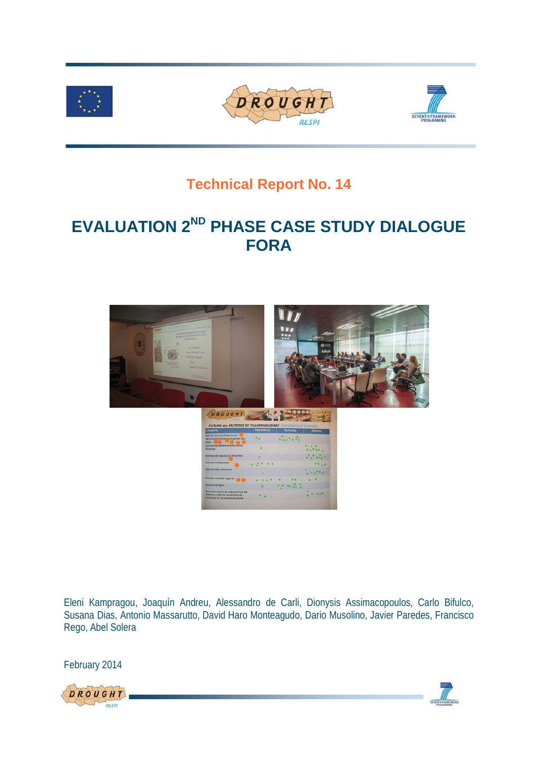





## **Technical Report No. 14**

# **EVALUATION 2ND PHASE CASE STUDY DIALOGUE FORA**



Eleni Kampragou, Joaquín Andreu, Alessandro de Carli, Dionysis Assimacopoulos, Carlo Bifulco, Susana Dias, Antonio Massarutto, David Haro Monteagudo, Dario Musolino, Javier Paredes, Francisco Rego, Abel Solera

February 2014



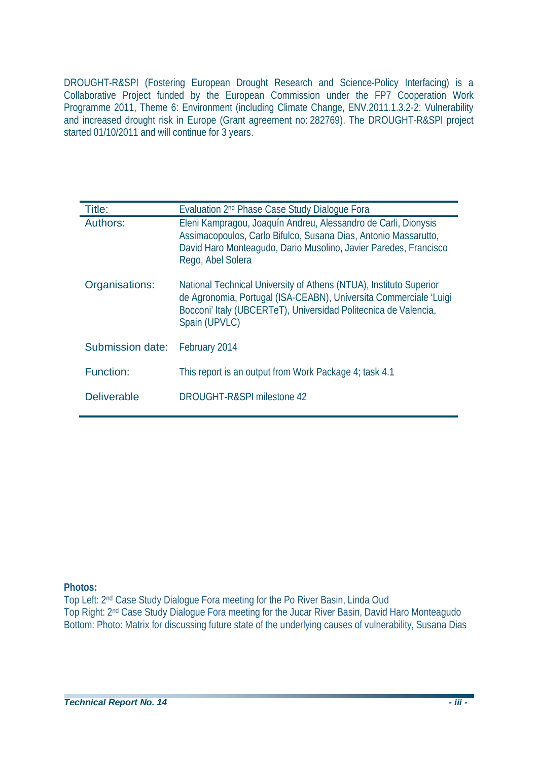DROUGHT-R&SPI (Fostering European Drought Research and Science-Policy Interfacing) is a Collaborative Project funded by the European Commission under the FP7 Cooperation Work Programme 2011, Theme 6: Environment (including Climate Change, ENV.2011.1.3.2-2: Vulnerability and increased drought risk in Europe (Grant agreement no: 282769). The DROUGHT-R&SPI project started 01/10/2011 and will continue for 3 years.

| Title:             | Evaluation 2 <sup>nd</sup> Phase Case Study Dialogue Fora                                                                                                                                                                   |
|--------------------|-----------------------------------------------------------------------------------------------------------------------------------------------------------------------------------------------------------------------------|
| Authors:           | Eleni Kampragou, Joaquín Andreu, Alessandro de Carli, Dionysis<br>Assimacopoulos, Carlo Bifulco, Susana Dias, Antonio Massarutto,<br>David Haro Monteagudo, Dario Musolino, Javier Paredes, Francisco<br>Rego, Abel Solera  |
| Organisations:     | National Technical University of Athens (NTUA), Instituto Superior<br>de Agronomia, Portugal (ISA-CEABN), Universita Commerciale 'Luigi<br>Bocconi' Italy (UBCERTeT), Universidad Politecnica de Valencia,<br>Spain (UPVLC) |
| Submission date:   | February 2014                                                                                                                                                                                                               |
| Function:          | This report is an output from Work Package 4; task 4.1                                                                                                                                                                      |
| <b>Deliverable</b> | DROUGHT-R&SPI milestone 42                                                                                                                                                                                                  |
|                    |                                                                                                                                                                                                                             |

### **Photos:**

Top Left: 2nd Case Study Dialogue Fora meeting for the Po River Basin, Linda Oud Top Right: 2nd Case Study Dialogue Fora meeting for the Jucar River Basin, David Haro Monteagudo Bottom: Photo: Matrix for discussing future state of the underlying causes of vulnerability, Susana Dias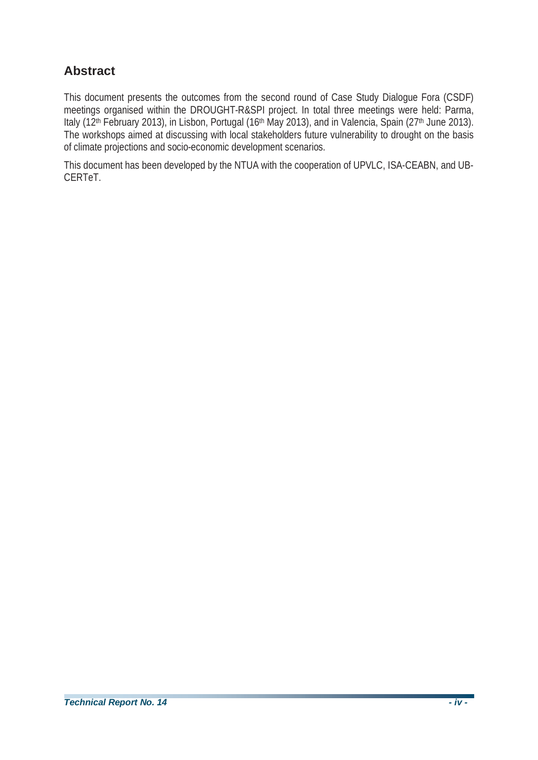### **Abstract**

This document presents the outcomes from the second round of Case Study Dialogue Fora (CSDF) meetings organised within the DROUGHT-R&SPI project. In total three meetings were held: Parma, Italy (12<sup>th</sup> February 2013), in Lisbon, Portugal (16<sup>th</sup> May 2013), and in Valencia, Spain (27<sup>th</sup> June 2013). The workshops aimed at discussing with local stakeholders future vulnerability to drought on the basis of climate projections and socio-economic development scenarios.

This document has been developed by the NTUA with the cooperation of UPVLC, ISA-CEABN, and UB-CERTeT.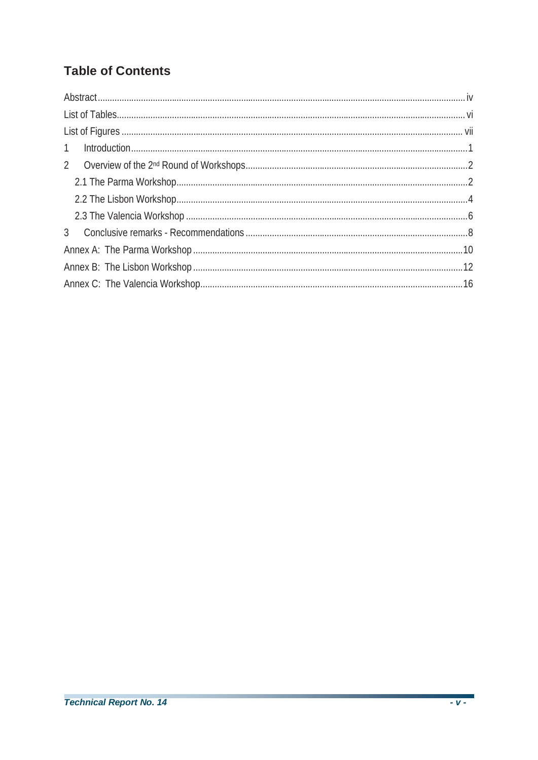## **Table of Contents**

| $\mathbf{1}$   |  |
|----------------|--|
| $\overline{2}$ |  |
|                |  |
|                |  |
|                |  |
| $\mathcal{S}$  |  |
|                |  |
|                |  |
|                |  |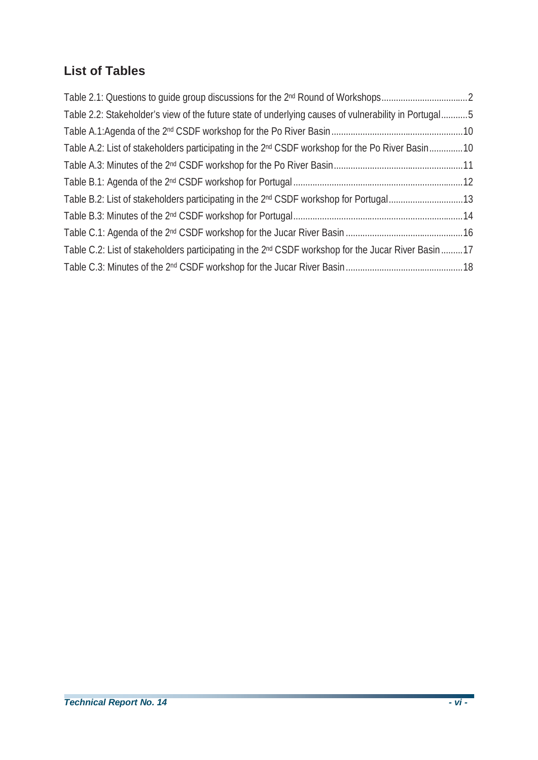### **List of Tables**

| Table 2.2: Stakeholder's view of the future state of underlying causes of vulnerability in Portugal5           |  |
|----------------------------------------------------------------------------------------------------------------|--|
|                                                                                                                |  |
| Table A.2: List of stakeholders participating in the 2 <sup>nd</sup> CSDF workshop for the Po River Basin10    |  |
|                                                                                                                |  |
|                                                                                                                |  |
| Table B.2: List of stakeholders participating in the 2 <sup>nd</sup> CSDF workshop for Portugal13              |  |
|                                                                                                                |  |
|                                                                                                                |  |
| Table C.2: List of stakeholders participating in the 2 <sup>nd</sup> CSDF workshop for the Jucar River Basin17 |  |
|                                                                                                                |  |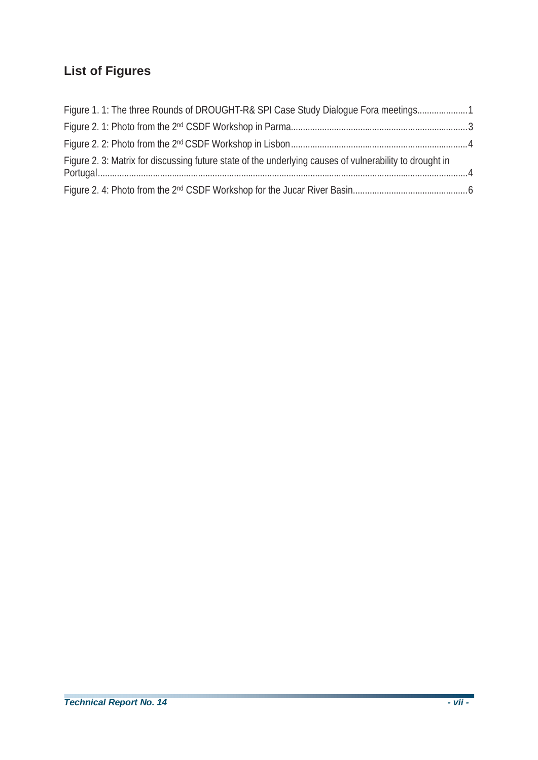## **List of Figures**

| Figure 1.1: The three Rounds of DROUGHT-R& SPI Case Study Dialogue Fora meetings1                       |  |
|---------------------------------------------------------------------------------------------------------|--|
|                                                                                                         |  |
|                                                                                                         |  |
| Figure 2. 3: Matrix for discussing future state of the underlying causes of vulnerability to drought in |  |
|                                                                                                         |  |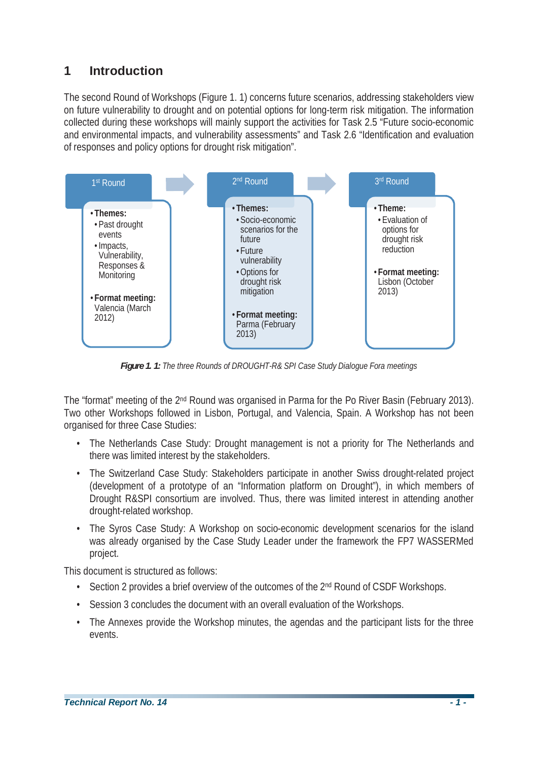### **1 Introduction**

The second Round of Workshops (Figure 1. 1) concerns future scenarios, addressing stakeholders view on future vulnerability to drought and on potential options for long-term risk mitigation. The information collected during these workshops will mainly support the activities for Task 2.5 "Future socio-economic and environmental impacts, and vulnerability assessments" and Task 2.6 "Identification and evaluation of responses and policy options for drought risk mitigation".



*Figure 1. 1: The three Rounds of DROUGHT-R& SPI Case Study Dialogue Fora meetings* 

The "format" meeting of the 2<sup>nd</sup> Round was organised in Parma for the Po River Basin (February 2013). Two other Workshops followed in Lisbon, Portugal, and Valencia, Spain. A Workshop has not been organised for three Case Studies:

- The Netherlands Case Study: Drought management is not a priority for The Netherlands and there was limited interest by the stakeholders.
- The Switzerland Case Study: Stakeholders participate in another Swiss drought-related project (development of a prototype of an "Information platform on Drought"), in which members of Drought R&SPI consortium are involved. Thus, there was limited interest in attending another drought-related workshop.
- The Syros Case Study: A Workshop on socio-economic development scenarios for the island was already organised by the Case Study Leader under the framework the FP7 WASSERMed project.

This document is structured as follows:

- Section 2 provides a brief overview of the outcomes of the 2<sup>nd</sup> Round of CSDF Workshops.
- Session 3 concludes the document with an overall evaluation of the Workshops.
- The Annexes provide the Workshop minutes, the agendas and the participant lists for the three events.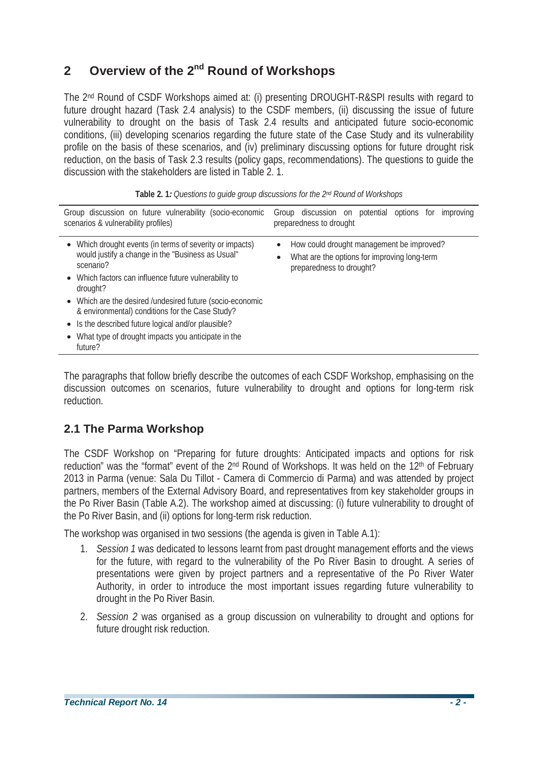### **2 Overview of the 2nd Round of Workshops**

The 2nd Round of CSDF Workshops aimed at: (i) presenting DROUGHT-R&SPI results with regard to future drought hazard (Task 2.4 analysis) to the CSDF members, (ii) discussing the issue of future vulnerability to drought on the basis of Task 2.4 results and anticipated future socio-economic conditions, (iii) developing scenarios regarding the future state of the Case Study and its vulnerability profile on the basis of these scenarios, and (iv) preliminary discussing options for future drought risk reduction, on the basis of Task 2.3 results (policy gaps, recommendations). The questions to guide the discussion with the stakeholders are listed in Table 2. 1.

**Table 2. 1***: Questions to guide group discussions for the 2nd Round of Workshops* 

| Group discussion on future vulnerability (socio-economic<br>scenarios & vulnerability profiles)                          | discussion on potential options for<br>Group<br>improving<br>preparedness to drought                                  |
|--------------------------------------------------------------------------------------------------------------------------|-----------------------------------------------------------------------------------------------------------------------|
| Which drought events (in terms of severity or impacts)<br>would justify a change in the "Business as Usual"<br>scenario? | How could drought management be improved?<br>What are the options for improving long-term<br>preparedness to drought? |
| Which factors can influence future vulnerability to<br>drought?                                                          |                                                                                                                       |
| • Which are the desired /undesired future (socio-economic<br>& environmental) conditions for the Case Study?             |                                                                                                                       |
| • Is the described future logical and/or plausible?                                                                      |                                                                                                                       |
| What type of drought impacts you anticipate in the<br>future?                                                            |                                                                                                                       |

The paragraphs that follow briefly describe the outcomes of each CSDF Workshop, emphasising on the discussion outcomes on scenarios, future vulnerability to drought and options for long-term risk reduction.

### **2.1 The Parma Workshop**

The CSDF Workshop on "Preparing for future droughts: Anticipated impacts and options for risk reduction" was the "format" event of the 2<sup>nd</sup> Round of Workshops. It was held on the 12<sup>th</sup> of February 2013 in Parma (venue: Sala Du Tillot - Camera di Commercio di Parma) and was attended by project partners, members of the External Advisory Board, and representatives from key stakeholder groups in the Po River Basin (Table A.2). The workshop aimed at discussing: (i) future vulnerability to drought of the Po River Basin, and (ii) options for long-term risk reduction.

The workshop was organised in two sessions (the agenda is given in Table A.1):

- 1. *Session 1* was dedicated to lessons learnt from past drought management efforts and the views for the future, with regard to the vulnerability of the Po River Basin to drought. A series of presentations were given by project partners and a representative of the Po River Water Authority, in order to introduce the most important issues regarding future vulnerability to drought in the Po River Basin.
- 2. *Session 2* was organised as a group discussion on vulnerability to drought and options for future drought risk reduction.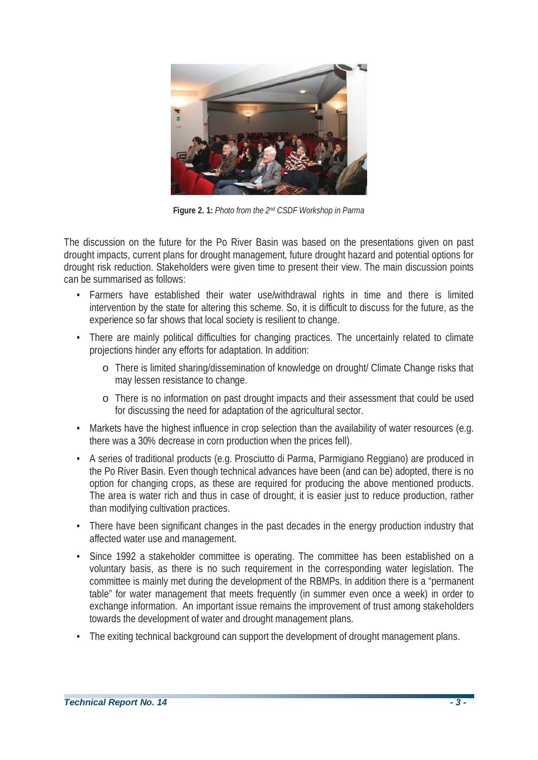

**Figure 2. 1:** *Photo from the 2nd CSDF Workshop in Parma*

The discussion on the future for the Po River Basin was based on the presentations given on past drought impacts, current plans for drought management, future drought hazard and potential options for drought risk reduction. Stakeholders were given time to present their view. The main discussion points can be summarised as follows:

- Farmers have established their water use/withdrawal rights in time and there is limited intervention by the state for altering this scheme. So, it is difficult to discuss for the future, as the experience so far shows that local society is resilient to change.
- There are mainly political difficulties for changing practices. The uncertainly related to climate projections hinder any efforts for adaptation. In addition:
	- o There is limited sharing/dissemination of knowledge on drought/ Climate Change risks that may lessen resistance to change.
	- o There is no information on past drought impacts and their assessment that could be used for discussing the need for adaptation of the agricultural sector.
- Markets have the highest influence in crop selection than the availability of water resources (e.g. there was a 30% decrease in corn production when the prices fell).
- A series of traditional products (e.g. Prosciutto di Parma, Parmigiano Reggiano) are produced in the Po River Basin. Even though technical advances have been (and can be) adopted, there is no option for changing crops, as these are required for producing the above mentioned products. The area is water rich and thus in case of drought, it is easier just to reduce production, rather than modifying cultivation practices.
- There have been significant changes in the past decades in the energy production industry that affected water use and management.
- Since 1992 a stakeholder committee is operating. The committee has been established on a voluntary basis, as there is no such requirement in the corresponding water legislation. The committee is mainly met during the development of the RBMPs. In addition there is a "permanent table" for water management that meets frequently (in summer even once a week) in order to exchange information. An important issue remains the improvement of trust among stakeholders towards the development of water and drought management plans.
- The exiting technical background can support the development of drought management plans.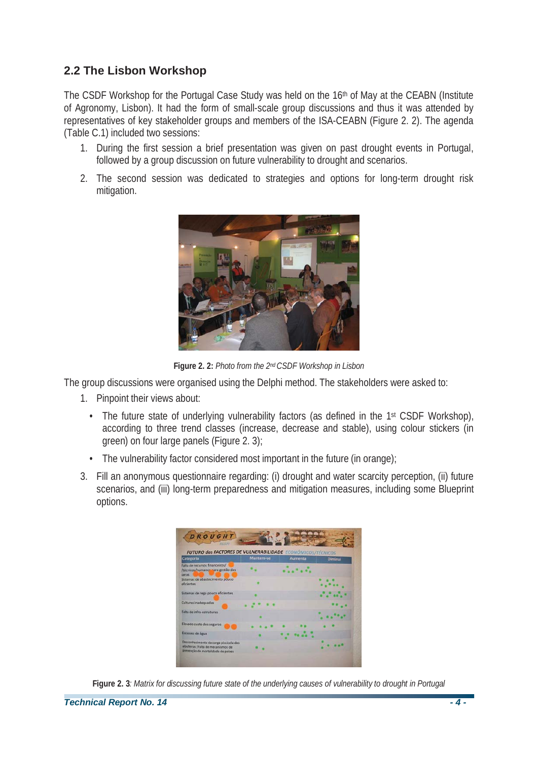### **2.2 The Lisbon Workshop**

The CSDF Workshop for the Portugal Case Study was held on the 16<sup>th</sup> of May at the CEABN (Institute of Agronomy, Lisbon). It had the form of small-scale group discussions and thus it was attended by representatives of key stakeholder groups and members of the ISA-CEABN (Figure 2. 2). The agenda (Table C.1) included two sessions:

- 1. During the first session a brief presentation was given on past drought events in Portugal, followed by a group discussion on future vulnerability to drought and scenarios.
- 2. The second session was dedicated to strategies and options for long-term drought risk mitigation.



**Figure 2. 2:** *Photo from the 2nd CSDF Workshop in Lisbon*

The group discussions were organised using the Delphi method. The stakeholders were asked to:

- 1. Pinpoint their views about:
	- The future state of underlying vulnerability factors (as defined in the 1<sup>st</sup> CSDF Workshop), according to three trend classes (increase, decrease and stable), using colour stickers (in green) on four large panels (Figure 2. 3);
	- The vulnerability factor considered most important in the future (in orange);
- 3. Fill an anonymous questionnaire regarding: (i) drought and water scarcity perception, (ii) future scenarios, and (iii) long-term preparedness and mitigation measures, including some Blueprint options.



**Figure 2. 3***: Matrix for discussing future state of the underlying causes of vulnerability to drought in Portugal*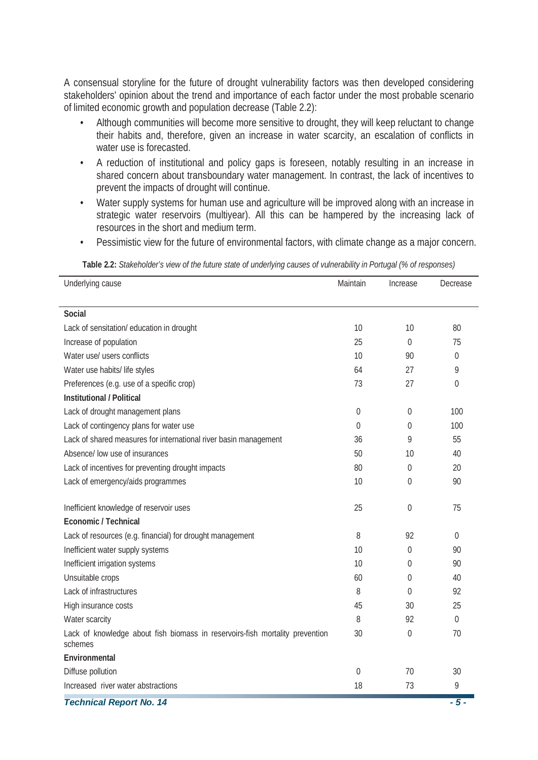A consensual storyline for the future of drought vulnerability factors was then developed considering stakeholders' opinion about the trend and importance of each factor under the most probable scenario of limited economic growth and population decrease (Table 2.2):

- Although communities will become more sensitive to drought, they will keep reluctant to change their habits and, therefore, given an increase in water scarcity, an escalation of conflicts in water use is forecasted.
- A reduction of institutional and policy gaps is foreseen, notably resulting in an increase in shared concern about transboundary water management. In contrast, the lack of incentives to prevent the impacts of drought will continue.
- Water supply systems for human use and agriculture will be improved along with an increase in strategic water reservoirs (multiyear). All this can be hampered by the increasing lack of resources in the short and medium term.
- Pessimistic view for the future of environmental factors, with climate change as a major concern.

| Underlying cause                                                                        | Maintain | Increase       | Decrease       |
|-----------------------------------------------------------------------------------------|----------|----------------|----------------|
|                                                                                         |          |                |                |
| Social                                                                                  |          |                |                |
| Lack of sensitation/ education in drought                                               | 10       | 10             | 80             |
| Increase of population                                                                  | 25       | $\overline{0}$ | 75             |
| Water use/ users conflicts                                                              | 10       | 90             | $\theta$       |
| Water use habits/ life styles                                                           | 64       | 27             | 9              |
| Preferences (e.g. use of a specific crop)                                               | 73       | 27             | $\theta$       |
| Institutional / Political                                                               |          |                |                |
| Lack of drought management plans                                                        | 0        | 0              | 100            |
| Lack of contingency plans for water use                                                 | 0        | 0              | 100            |
| Lack of shared measures for international river basin management                        | 36       | 9              | 55             |
| Absence/ low use of insurances                                                          | 50       | 10             | 40             |
| Lack of incentives for preventing drought impacts                                       | 80       | 0              | 20             |
| Lack of emergency/aids programmes                                                       | 10       | 0              | 90             |
| Inefficient knowledge of reservoir uses                                                 | 25       | $\Omega$       | 75             |
| Economic / Technical                                                                    |          |                |                |
| Lack of resources (e.g. financial) for drought management                               | 8        | 92             | $\Omega$       |
| Inefficient water supply systems                                                        | 10       | 0              | 90             |
| Inefficient irrigation systems                                                          | 10       | 0              | 90             |
| Unsuitable crops                                                                        | 60       | 0              | 40             |
| Lack of infrastructures                                                                 | 8        | $\theta$       | 92             |
| High insurance costs                                                                    | 45       | 30             | 25             |
| Water scarcity                                                                          | 8        | 92             | $\overline{0}$ |
| Lack of knowledge about fish biomass in reservoirs-fish mortality prevention<br>schemes | 30       | 0              | 70             |
| Environmental                                                                           |          |                |                |
| Diffuse pollution                                                                       | 0        | 70             | 30             |
| Increased river water abstractions                                                      | 18       | 73             | 9              |

**Table 2.2:** *Stakeholder's view of the future state of underlying causes of vulnerability in Portugal (% of responses)*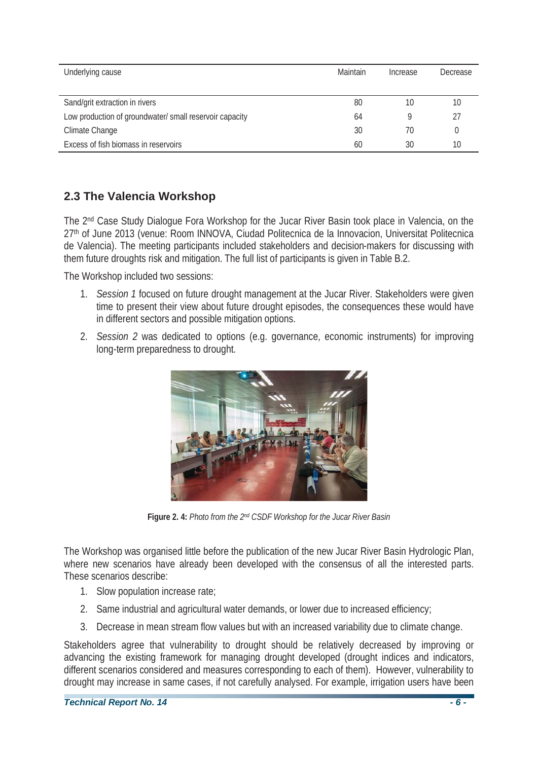| Underlying cause                                        | Maintain | Increase | Decrease |
|---------------------------------------------------------|----------|----------|----------|
|                                                         |          |          |          |
| Sand/grit extraction in rivers                          | 80       | 10       | 10       |
| Low production of groundwater/ small reservoir capacity | 64       | Q        |          |
| Climate Change                                          | 30       | 70       |          |
| Excess of fish biomass in reservoirs                    | 60       | 30       | 10       |

### **2.3 The Valencia Workshop**

The 2nd Case Study Dialogue Fora Workshop for the Jucar River Basin took place in Valencia, on the 27th of June 2013 (venue: Room INNOVA, Ciudad Politecnica de la Innovacion, Universitat Politecnica de Valencia). The meeting participants included stakeholders and decision-makers for discussing with them future droughts risk and mitigation. The full list of participants is given in Table B.2.

The Workshop included two sessions:

- 1. *Session 1* focused on future drought management at the Jucar River. Stakeholders were given time to present their view about future drought episodes, the consequences these would have in different sectors and possible mitigation options.
- 2. *Session 2* was dedicated to options (e.g. governance, economic instruments) for improving long-term preparedness to drought.



**Figure 2. 4:** *Photo from the 2nd CSDF Workshop for the Jucar River Basin*

The Workshop was organised little before the publication of the new Jucar River Basin Hydrologic Plan, where new scenarios have already been developed with the consensus of all the interested parts. These scenarios describe:

- 1. Slow population increase rate;
- 2. Same industrial and agricultural water demands, or lower due to increased efficiency;
- 3. Decrease in mean stream flow values but with an increased variability due to climate change.

Stakeholders agree that vulnerability to drought should be relatively decreased by improving or advancing the existing framework for managing drought developed (drought indices and indicators, different scenarios considered and measures corresponding to each of them). However, vulnerability to drought may increase in same cases, if not carefully analysed. For example, irrigation users have been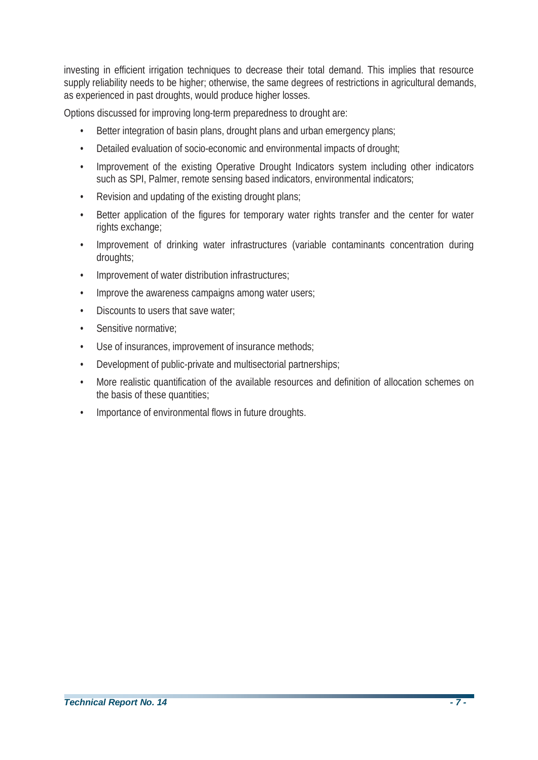investing in efficient irrigation techniques to decrease their total demand. This implies that resource supply reliability needs to be higher; otherwise, the same degrees of restrictions in agricultural demands, as experienced in past droughts, would produce higher losses.

Options discussed for improving long-term preparedness to drought are:

- Better integration of basin plans, drought plans and urban emergency plans;
- Detailed evaluation of socio-economic and environmental impacts of drought;
- Improvement of the existing Operative Drought Indicators system including other indicators such as SPI, Palmer, remote sensing based indicators, environmental indicators;
- Revision and updating of the existing drought plans;
- Better application of the figures for temporary water rights transfer and the center for water rights exchange;
- Improvement of drinking water infrastructures (variable contaminants concentration during droughts;
- Improvement of water distribution infrastructures;
- Improve the awareness campaigns among water users;
- Discounts to users that save water;
- Sensitive normative;
- Use of insurances, improvement of insurance methods;
- Development of public-private and multisectorial partnerships;
- More realistic quantification of the available resources and definition of allocation schemes on the basis of these quantities;
- Importance of environmental flows in future droughts.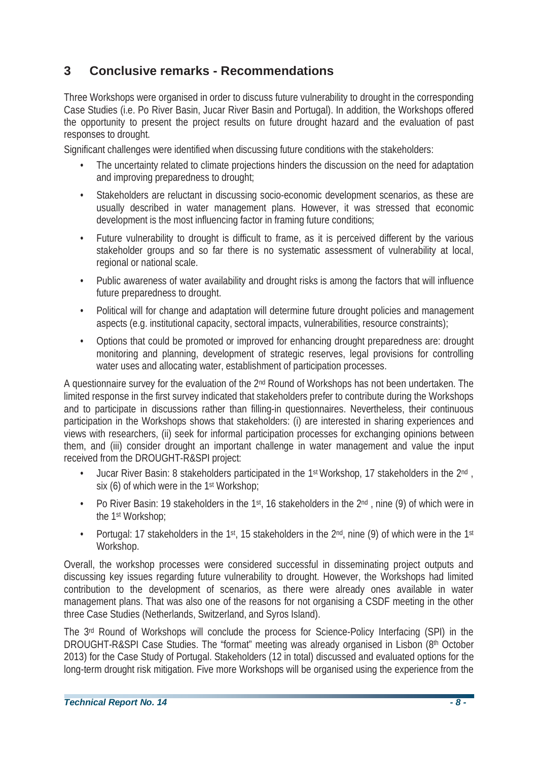### **3 Conclusive remarks - Recommendations**

Three Workshops were organised in order to discuss future vulnerability to drought in the corresponding Case Studies (i.e. Po River Basin, Jucar River Basin and Portugal). In addition, the Workshops offered the opportunity to present the project results on future drought hazard and the evaluation of past responses to drought.

Significant challenges were identified when discussing future conditions with the stakeholders:

- The uncertainty related to climate projections hinders the discussion on the need for adaptation and improving preparedness to drought;
- Stakeholders are reluctant in discussing socio-economic development scenarios, as these are usually described in water management plans. However, it was stressed that economic development is the most influencing factor in framing future conditions;
- Future vulnerability to drought is difficult to frame, as it is perceived different by the various stakeholder groups and so far there is no systematic assessment of vulnerability at local, regional or national scale.
- Public awareness of water availability and drought risks is among the factors that will influence future preparedness to drought.
- Political will for change and adaptation will determine future drought policies and management aspects (e.g. institutional capacity, sectoral impacts, vulnerabilities, resource constraints);
- Options that could be promoted or improved for enhancing drought preparedness are: drought monitoring and planning, development of strategic reserves, legal provisions for controlling water uses and allocating water, establishment of participation processes.

A questionnaire survey for the evaluation of the 2nd Round of Workshops has not been undertaken. The limited response in the first survey indicated that stakeholders prefer to contribute during the Workshops and to participate in discussions rather than filling-in questionnaires. Nevertheless, their continuous participation in the Workshops shows that stakeholders: (i) are interested in sharing experiences and views with researchers, (ii) seek for informal participation processes for exchanging opinions between them, and (iii) consider drought an important challenge in water management and value the input received from the DROUGHT-R&SPI project:

- Jucar River Basin: 8 stakeholders participated in the 1<sup>st</sup> Workshop, 17 stakeholders in the 2<sup>nd</sup>, six (6) of which were in the 1st Workshop;
- Po River Basin: 19 stakeholders in the 1st, 16 stakeholders in the  $2^{nd}$ , nine (9) of which were in the 1st Workshop;
- Portugal: 17 stakeholders in the 1<sup>st</sup>, 15 stakeholders in the  $2<sup>nd</sup>$ , nine (9) of which were in the 1<sup>st</sup> Workshop.

Overall, the workshop processes were considered successful in disseminating project outputs and discussing key issues regarding future vulnerability to drought. However, the Workshops had limited contribution to the development of scenarios, as there were already ones available in water management plans. That was also one of the reasons for not organising a CSDF meeting in the other three Case Studies (Netherlands, Switzerland, and Syros Island).

The 3rd Round of Workshops will conclude the process for Science-Policy Interfacing (SPI) in the DROUGHT-R&SPI Case Studies. The "format" meeting was already organised in Lisbon (8th October 2013) for the Case Study of Portugal. Stakeholders (12 in total) discussed and evaluated options for the long-term drought risk mitigation. Five more Workshops will be organised using the experience from the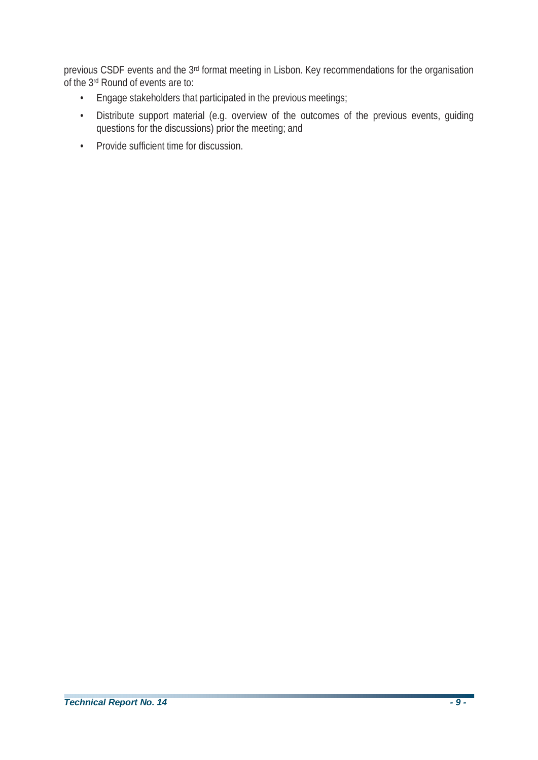previous CSDF events and the 3rd format meeting in Lisbon. Key recommendations for the organisation of the 3rd Round of events are to:

- Engage stakeholders that participated in the previous meetings;
- Distribute support material (e.g. overview of the outcomes of the previous events, guiding questions for the discussions) prior the meeting; and
- Provide sufficient time for discussion.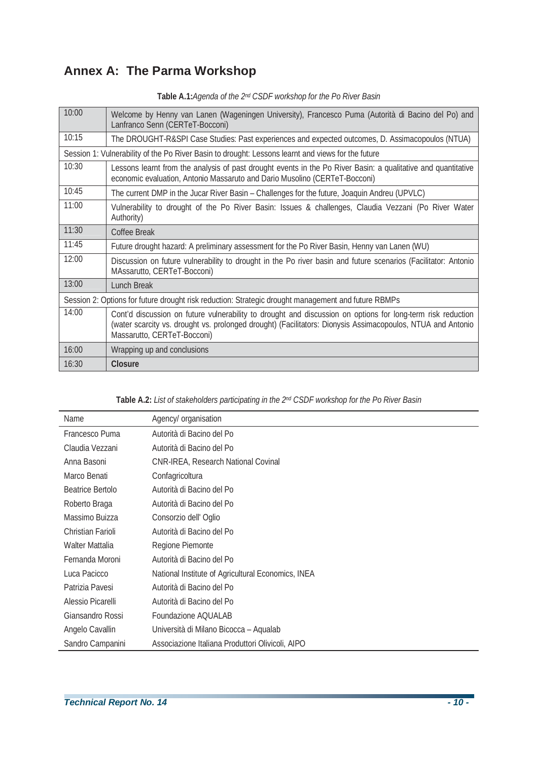### **Annex A: The Parma Workshop**

| 10:00                                                                                               | Welcome by Henny van Lanen (Wageningen University), Francesco Puma (Autorità di Bacino del Po) and<br>Lanfranco Senn (CERTeT-Bocconi)                                                                                                                     |
|-----------------------------------------------------------------------------------------------------|-----------------------------------------------------------------------------------------------------------------------------------------------------------------------------------------------------------------------------------------------------------|
| 10:15                                                                                               | The DROUGHT-R&SPI Case Studies: Past experiences and expected outcomes, D. Assimacopoulos (NTUA)                                                                                                                                                          |
|                                                                                                     | Session 1: Vulnerability of the Po River Basin to drought: Lessons learnt and views for the future                                                                                                                                                        |
| 10:30                                                                                               | Lessons learnt from the analysis of past drought events in the Po River Basin: a qualitative and quantitative<br>economic evaluation, Antonio Massaruto and Dario Musolino (CERTeT-Bocconi)                                                               |
| 10:45                                                                                               | The current DMP in the Jucar River Basin - Challenges for the future, Joaquin Andreu (UPVLC)                                                                                                                                                              |
| 11:00                                                                                               | Vulnerability to drought of the Po River Basin: Issues & challenges, Claudia Vezzani (Po River Water<br>Authority)                                                                                                                                        |
| 11:30                                                                                               | Coffee Break                                                                                                                                                                                                                                              |
| 11:45                                                                                               | Future drought hazard: A preliminary assessment for the Po River Basin, Henny van Lanen (WU)                                                                                                                                                              |
| 12:00                                                                                               | Discussion on future vulnerability to drought in the Po river basin and future scenarios (Facilitator: Antonio<br>MAssarutto, CERTeT-Bocconi)                                                                                                             |
| 13:00                                                                                               | Lunch Break                                                                                                                                                                                                                                               |
| Session 2: Options for future drought risk reduction: Strategic drought management and future RBMPs |                                                                                                                                                                                                                                                           |
| 14:00                                                                                               | Cont'd discussion on future vulnerability to drought and discussion on options for long-term risk reduction<br>(water scarcity vs. drought vs. prolonged drought) (Facilitators: Dionysis Assimacopoulos, NTUA and Antonio<br>Massarutto, CERTeT-Bocconi) |
| 16:00                                                                                               | Wrapping up and conclusions                                                                                                                                                                                                                               |
| 16:30                                                                                               | Closure                                                                                                                                                                                                                                                   |

**Table A.1:***Agenda of the 2nd CSDF workshop for the Po River Basin* 

**Table A.2:** *List of stakeholders participating in the 2nd CSDF workshop for the Po River Basin* 

| Name              | Agency/ organisation                               |
|-------------------|----------------------------------------------------|
| Francesco Puma    | Autorità di Bacino del Po                          |
| Claudia Vezzani   | Autorità di Bacino del Po                          |
| Anna Basoni       | CNR-IREA, Research National Covinal                |
| Marco Benati      | Confagricoltura                                    |
| Beatrice Bertolo  | Autorità di Bacino del Po                          |
| Roberto Braga     | Autorità di Bacino del Po                          |
| Massimo Buizza    | Consorzio dell' Oglio                              |
| Christian Farioli | Autorità di Bacino del Po                          |
| Walter Mattalia   | Regione Piemonte                                   |
| Fernanda Moroni   | Autorità di Bacino del Po                          |
| Luca Pacicco      | National Institute of Agricultural Economics, INEA |
| Patrizia Pavesi   | Autorità di Bacino del Po                          |
| Alessio Picarelli | Autorità di Bacino del Po                          |
| Giansandro Rossi  | Foundazione AQUALAB                                |
| Angelo Cavallin   | Università di Milano Bicocca - Aqualab             |
| Sandro Campanini  | Associazione Italiana Produttori Olivicoli, AIPO   |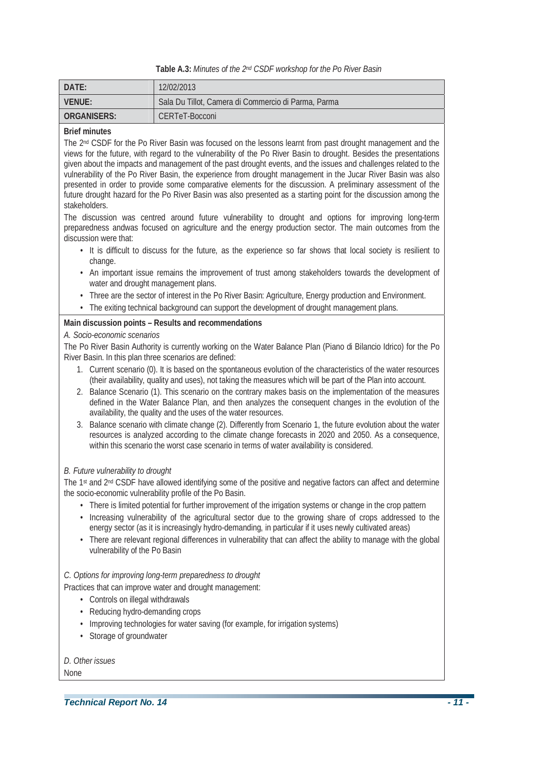**Table A.3:** *Minutes of the 2nd CSDF workshop for the Po River Basin* 

| DATE:       | 12/02/2013                                          |
|-------------|-----------------------------------------------------|
| VENUE:      | Sala Du Tillot, Camera di Commercio di Parma, Parma |
| ORGANISERS: | CERTeT-Bocconi                                      |

### **Brief minutes**

The 2<sup>nd</sup> CSDF for the Po River Basin was focused on the lessons learnt from past drought management and the views for the future, with regard to the vulnerability of the Po River Basin to drought. Besides the presentations given about the impacts and management of the past drought events, and the issues and challenges related to the vulnerability of the Po River Basin, the experience from drought management in the Jucar River Basin was also presented in order to provide some comparative elements for the discussion. A preliminary assessment of the future drought hazard for the Po River Basin was also presented as a starting point for the discussion among the stakeholders.

The discussion was centred around future vulnerability to drought and options for improving long-term preparedness andwas focused on agriculture and the energy production sector. The main outcomes from the discussion were that:

- It is difficult to discuss for the future, as the experience so far shows that local society is resilient to change.
- An important issue remains the improvement of trust among stakeholders towards the development of water and drought management plans.
- Three are the sector of interest in the Po River Basin: Agriculture, Energy production and Environment.
- The exiting technical background can support the development of drought management plans.

### **Main discussion points – Results and recommendations**

### *A. Socio-economic scenarios*

The Po River Basin Authority is currently working on the Water Balance Plan (Piano di Bilancio Idrico) for the Po River Basin. In this plan three scenarios are defined:

- 1. Current scenario (0). It is based on the spontaneous evolution of the characteristics of the water resources (their availability, quality and uses), not taking the measures which will be part of the Plan into account.
- 2. Balance Scenario (1). This scenario on the contrary makes basis on the implementation of the measures defined in the Water Balance Plan, and then analyzes the consequent changes in the evolution of the availability, the quality and the uses of the water resources.
- 3. Balance scenario with climate change (2). Differently from Scenario 1, the future evolution about the water resources is analyzed according to the climate change forecasts in 2020 and 2050. As a consequence, within this scenario the worst case scenario in terms of water availability is considered.

### *B. Future vulnerability to drought*

The 1st and 2nd CSDF have allowed identifying some of the positive and negative factors can affect and determine the socio-economic vulnerability profile of the Po Basin.

- There is limited potential for further improvement of the irrigation systems or change in the crop pattern
- Increasing vulnerability of the agricultural sector due to the growing share of crops addressed to the energy sector (as it is increasingly hydro-demanding, in particular if it uses newly cultivated areas)
- There are relevant regional differences in vulnerability that can affect the ability to manage with the global vulnerability of the Po Basin

### *C. Options for improving long-term preparedness to drought*

Practices that can improve water and drought management:

- Controls on illegal withdrawals
- Reducing hydro-demanding crops
- Improving technologies for water saving (for example, for irrigation systems)
- Storage of groundwater

### *D. Other issues*

None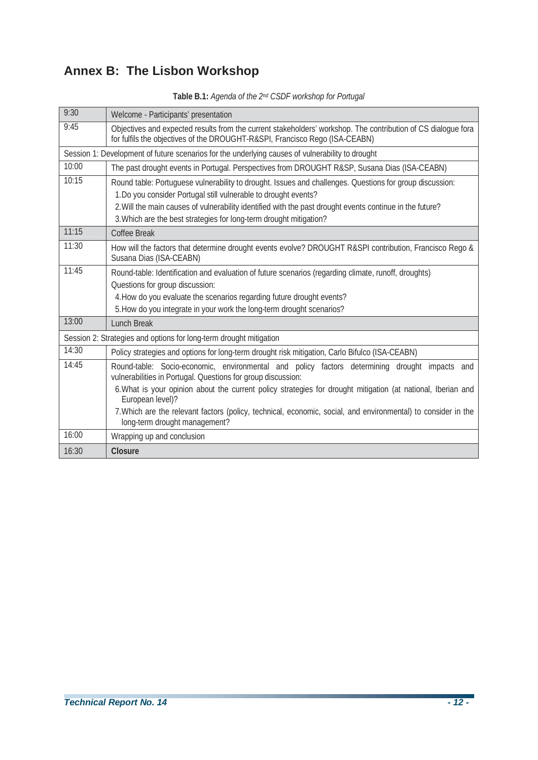## **Annex B: The Lisbon Workshop**

| 9:30                                                               | Welcome - Participants' presentation                                                                                                                                                                                                                                                              |
|--------------------------------------------------------------------|---------------------------------------------------------------------------------------------------------------------------------------------------------------------------------------------------------------------------------------------------------------------------------------------------|
| 9:45                                                               | Objectives and expected results from the current stakeholders' workshop. The contribution of CS dialoque fora<br>for fulfils the objectives of the DROUGHT-R&SPI, Francisco Rego (ISA-CEABN)                                                                                                      |
|                                                                    | Session 1: Development of future scenarios for the underlying causes of vulnerability to drought                                                                                                                                                                                                  |
| 10:00                                                              | The past drought events in Portugal. Perspectives from DROUGHT R&SP, Susana Dias (ISA-CEABN)                                                                                                                                                                                                      |
| 10:15                                                              | Round table: Portuguese vulnerability to drought. Issues and challenges. Questions for group discussion:<br>1. Do you consider Portugal still vulnerable to drought events?                                                                                                                       |
|                                                                    | 2. Will the main causes of vulnerability identified with the past drought events continue in the future?                                                                                                                                                                                          |
|                                                                    | 3. Which are the best strategies for long-term drought mitigation?                                                                                                                                                                                                                                |
| 11:15                                                              | <b>Coffee Break</b>                                                                                                                                                                                                                                                                               |
| 11:30                                                              | How will the factors that determine drought events evolve? DROUGHT R&SPI contribution, Francisco Rego &<br>Susana Dias (ISA-CEABN)                                                                                                                                                                |
| 11:45                                                              | Round-table: Identification and evaluation of future scenarios (regarding climate, runoff, droughts)<br>Questions for group discussion:<br>4. How do you evaluate the scenarios regarding future drought events?<br>5. How do you integrate in your work the long-term drought scenarios?         |
| 13:00                                                              | Lunch Break                                                                                                                                                                                                                                                                                       |
| Session 2: Strategies and options for long-term drought mitigation |                                                                                                                                                                                                                                                                                                   |
| 14:30                                                              | Policy strategies and options for long-term drought risk mitigation, Carlo Bifulco (ISA-CEABN)                                                                                                                                                                                                    |
| 14:45                                                              | Round-table: Socio-economic, environmental and policy factors determining drought impacts and<br>vulnerabilities in Portugal. Questions for group discussion:<br>6. What is your opinion about the current policy strategies for drought mitigation (at national, Iberian and<br>European level)? |
|                                                                    | 7. Which are the relevant factors (policy, technical, economic, social, and environmental) to consider in the<br>long-term drought management?                                                                                                                                                    |
| 16:00                                                              | Wrapping up and conclusion                                                                                                                                                                                                                                                                        |
| 16:30                                                              | Closure                                                                                                                                                                                                                                                                                           |

**Table B.1:** *Agenda of the 2nd CSDF workshop for Portugal*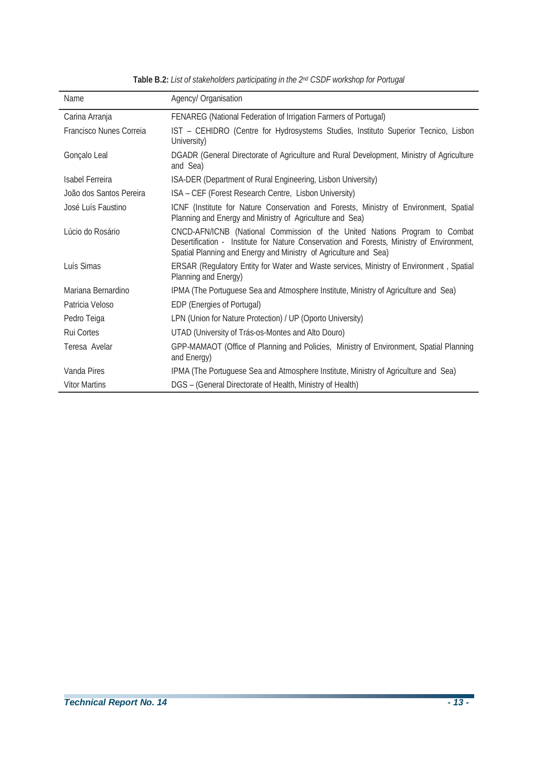| Name                    | Agency/ Organisation                                                                                                                                                                                                                        |
|-------------------------|---------------------------------------------------------------------------------------------------------------------------------------------------------------------------------------------------------------------------------------------|
| Carina Arranja          | FENAREG (National Federation of Irrigation Farmers of Portugal)                                                                                                                                                                             |
| Francisco Nunes Correia | IST - CEHIDRO (Centre for Hydrosystems Studies, Instituto Superior Tecnico, Lisbon<br>University)                                                                                                                                           |
| Gonçalo Leal            | DGADR (General Directorate of Agriculture and Rural Development, Ministry of Agriculture<br>and Sea)                                                                                                                                        |
| Isabel Ferreira         | ISA-DER (Department of Rural Engineering, Lisbon University)                                                                                                                                                                                |
| João dos Santos Pereira | ISA - CEF (Forest Research Centre, Lisbon University)                                                                                                                                                                                       |
| José Luís Faustino      | ICNF (Institute for Nature Conservation and Forests, Ministry of Environment, Spatial<br>Planning and Energy and Ministry of Agriculture and Sea)                                                                                           |
| Lúcio do Rosário        | CNCD-AFN/ICNB (National Commission of the United Nations Program to Combat<br>Desertification - Institute for Nature Conservation and Forests, Ministry of Environment,<br>Spatial Planning and Energy and Ministry of Agriculture and Sea) |
| Luís Simas              | ERSAR (Regulatory Entity for Water and Waste services, Ministry of Environment, Spatial<br>Planning and Energy)                                                                                                                             |
| Mariana Bernardino      | IPMA (The Portuguese Sea and Atmosphere Institute, Ministry of Agriculture and Sea)                                                                                                                                                         |
| Patricia Veloso         | EDP (Energies of Portugal)                                                                                                                                                                                                                  |
| Pedro Teiga             | LPN (Union for Nature Protection) / UP (Oporto University)                                                                                                                                                                                  |
| <b>Rui Cortes</b>       | UTAD (University of Trás-os-Montes and Alto Douro)                                                                                                                                                                                          |
| Teresa Avelar           | GPP-MAMAOT (Office of Planning and Policies, Ministry of Environment, Spatial Planning<br>and Energy)                                                                                                                                       |
| Vanda Pires             | IPMA (The Portuguese Sea and Atmosphere Institute, Ministry of Agriculture and Sea)                                                                                                                                                         |
| <b>Vitor Martins</b>    | DGS - (General Directorate of Health, Ministry of Health)                                                                                                                                                                                   |

**Table B.2:** *List of stakeholders participating in the 2nd CSDF workshop for Portugal*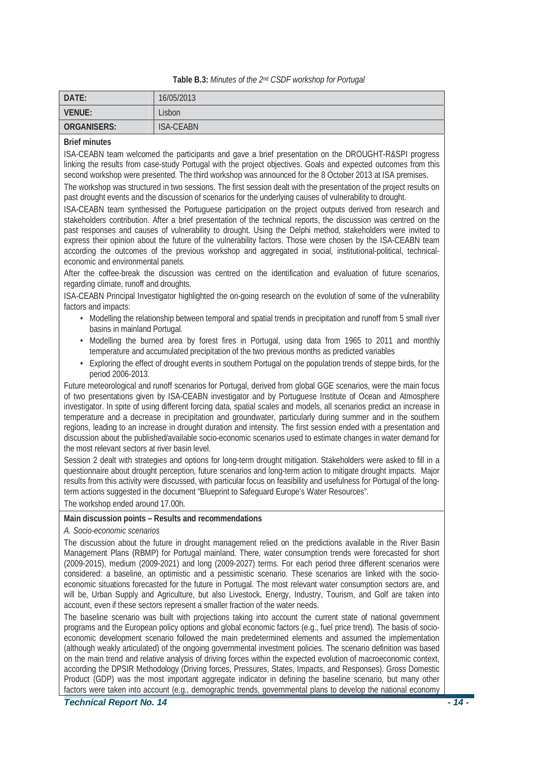#### **Table B.3:** *Minutes of the 2nd CSDF workshop for Portugal*

| DATE:         | 16/05/2013       |
|---------------|------------------|
| <b>VENUE:</b> | .isbon           |
| ORGANISERS:   | <b>ISA-CEABN</b> |

### **Brief minutes**

ISA-CEABN team welcomed the participants and gave a brief presentation on the DROUGHT-R&SPI progress linking the results from case-study Portugal with the project objectives. Goals and expected outcomes from this second workshop were presented. The third workshop was announced for the 8 October 2013 at ISA premises.

The workshop was structured in two sessions. The first session dealt with the presentation of the project results on past drought events and the discussion of scenarios for the underlying causes of vulnerability to drought.

ISA-CEABN team synthesised the Portuguese participation on the project outputs derived from research and stakeholders contribution. After a brief presentation of the technical reports, the discussion was centred on the past responses and causes of vulnerability to drought. Using the Delphi method, stakeholders were invited to express their opinion about the future of the vulnerability factors. Those were chosen by the ISA-CEABN team according the outcomes of the previous workshop and aggregated in social, institutional-political, technicaleconomic and environmental panels.

After the coffee-break the discussion was centred on the identification and evaluation of future scenarios, regarding climate, runoff and droughts.

ISA-CEABN Principal Investigator highlighted the on-going research on the evolution of some of the vulnerability factors and impacts:

- Modelling the relationship between temporal and spatial trends in precipitation and runoff from 5 small river basins in mainland Portugal.
- Modelling the burned area by forest fires in Portugal, using data from 1965 to 2011 and monthly temperature and accumulated precipitation of the two previous months as predicted variables
- Exploring the effect of drought events in southern Portugal on the population trends of steppe birds, for the period 2006-2013.

Future meteorological and runoff scenarios for Portugal, derived from global GGE scenarios, were the main focus of two presentations given by ISA-CEABN investigator and by Portuguese Institute of Ocean and Atmosphere investigator. In spite of using different forcing data, spatial scales and models, all scenarios predict an increase in temperature and a decrease in precipitation and groundwater, particularly during summer and in the southern regions, leading to an increase in drought duration and intensity. The first session ended with a presentation and discussion about the published/available socio-economic scenarios used to estimate changes in water demand for the most relevant sectors at river basin level.

Session 2 dealt with strategies and options for long-term drought mitigation. Stakeholders were asked to fill in a questionnaire about drought perception, future scenarios and long-term action to mitigate drought impacts. Major results from this activity were discussed, with particular focus on feasibility and usefulness for Portugal of the longterm actions suggested in the document "Blueprint to Safeguard Europe's Water Resources".

The workshop ended around 17.00h.

### **Main discussion points – Results and recommendations**

#### *A. Socio-economic scenarios*

The discussion about the future in drought management relied on the predictions available in the River Basin Management Plans (RBMP) for Portugal mainland. There, water consumption trends were forecasted for short (2009-2015), medium (2009-2021) and long (2009-2027) terms. For each period three different scenarios were considered: a baseline, an optimistic and a pessimistic scenario. These scenarios are linked with the socioeconomic situations forecasted for the future in Portugal. The most relevant water consumption sectors are, and will be, Urban Supply and Agriculture, but also Livestock, Energy, Industry, Tourism, and Golf are taken into account, even if these sectors represent a smaller fraction of the water needs.

The baseline scenario was built with projections taking into account the current state of national government programs and the European policy options and global economic factors (e.g., fuel price trend). The basis of socioeconomic development scenario followed the main predetermined elements and assumed the implementation (although weakly articulated) of the ongoing governmental investment policies. The scenario definition was based on the main trend and relative analysis of driving forces within the expected evolution of macroeconomic context, according the DPSIR Methodology (Driving forces, Pressures, States, Impacts, and Responses). Gross Domestic Product (GDP) was the most important aggregate indicator in defining the baseline scenario, but many other factors were taken into account (e.g., demographic trends, governmental plans to develop the national economy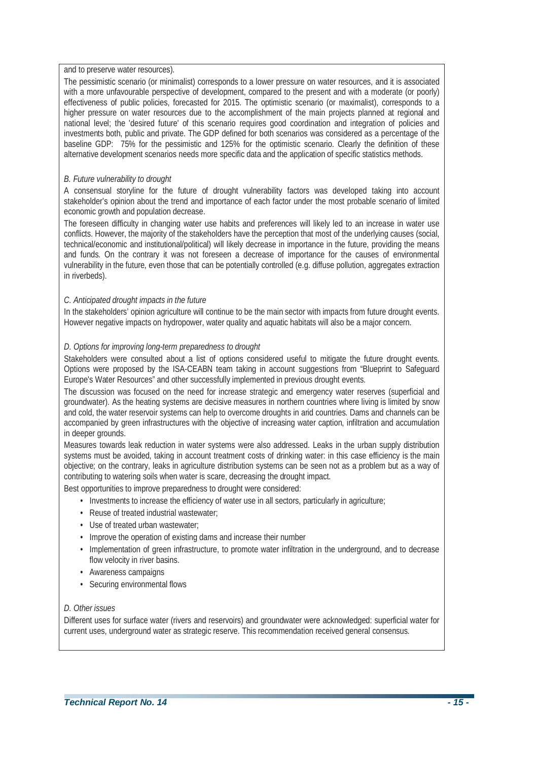#### and to preserve water resources).

The pessimistic scenario (or minimalist) corresponds to a lower pressure on water resources, and it is associated with a more unfavourable perspective of development, compared to the present and with a moderate (or poorly) effectiveness of public policies, forecasted for 2015. The optimistic scenario (or maximalist), corresponds to a higher pressure on water resources due to the accomplishment of the main projects planned at regional and national level; the 'desired future' of this scenario requires good coordination and integration of policies and investments both, public and private. The GDP defined for both scenarios was considered as a percentage of the baseline GDP: 75% for the pessimistic and 125% for the optimistic scenario. Clearly the definition of these alternative development scenarios needs more specific data and the application of specific statistics methods.

### *B. Future vulnerability to drought*

A consensual storyline for the future of drought vulnerability factors was developed taking into account stakeholder's opinion about the trend and importance of each factor under the most probable scenario of limited economic growth and population decrease.

The foreseen difficulty in changing water use habits and preferences will likely led to an increase in water use conflicts. However, the majority of the stakeholders have the perception that most of the underlying causes (social, technical/economic and institutional/political) will likely decrease in importance in the future, providing the means and funds. On the contrary it was not foreseen a decrease of importance for the causes of environmental vulnerability in the future, even those that can be potentially controlled (e.g. diffuse pollution, aggregates extraction in riverbeds).

#### *C. Anticipated drought impacts in the future*

In the stakeholders' opinion agriculture will continue to be the main sector with impacts from future drought events. However negative impacts on hydropower, water quality and aquatic habitats will also be a major concern.

#### *D. Options for improving long-term preparedness to drought*

Stakeholders were consulted about a list of options considered useful to mitigate the future drought events. Options were proposed by the ISA-CEABN team taking in account suggestions from "Blueprint to Safeguard Europe's Water Resources" and other successfully implemented in previous drought events.

The discussion was focused on the need for increase strategic and emergency water reserves (superficial and groundwater). As the heating systems are decisive measures in northern countries where living is limited by snow and cold, the water reservoir systems can help to overcome droughts in arid countries. Dams and channels can be accompanied by green infrastructures with the objective of increasing water caption, infiltration and accumulation in deeper grounds.

Measures towards leak reduction in water systems were also addressed. Leaks in the urban supply distribution systems must be avoided, taking in account treatment costs of drinking water: in this case efficiency is the main objective; on the contrary, leaks in agriculture distribution systems can be seen not as a problem but as a way of contributing to watering soils when water is scare, decreasing the drought impact.

Best opportunities to improve preparedness to drought were considered:

- Investments to increase the efficiency of water use in all sectors, particularly in agriculture;
- Reuse of treated industrial wastewater;
- Use of treated urban wastewater;
- Improve the operation of existing dams and increase their number
- Implementation of green infrastructure, to promote water infiltration in the underground, and to decrease flow velocity in river basins.
- Awareness campaigns
- Securing environmental flows

#### *D. Other issues*

Different uses for surface water (rivers and reservoirs) and groundwater were acknowledged: superficial water for current uses, underground water as strategic reserve. This recommendation received general consensus.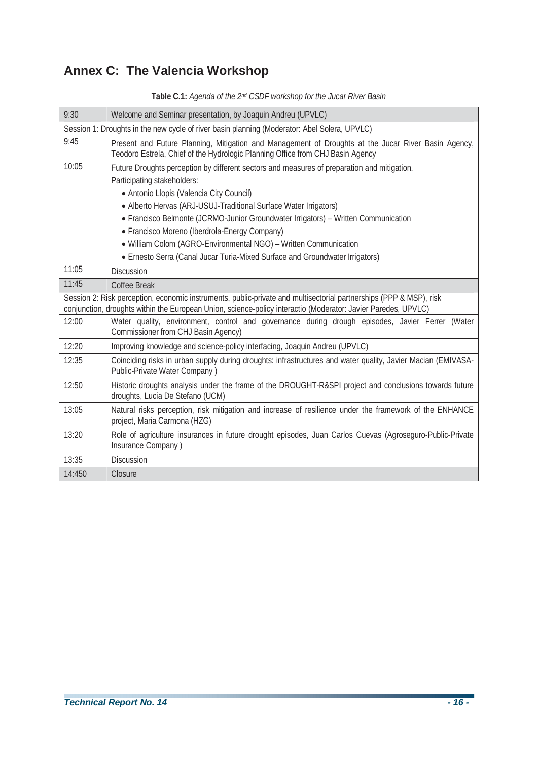## **Annex C: The Valencia Workshop**

| 9:30                                                                                                                                                                                                                                | Welcome and Seminar presentation, by Joaquin Andreu (UPVLC)                                                                                                                                                                                                                                                                                                                                                                                           |  |
|-------------------------------------------------------------------------------------------------------------------------------------------------------------------------------------------------------------------------------------|-------------------------------------------------------------------------------------------------------------------------------------------------------------------------------------------------------------------------------------------------------------------------------------------------------------------------------------------------------------------------------------------------------------------------------------------------------|--|
| Session 1: Droughts in the new cycle of river basin planning (Moderator: Abel Solera, UPVLC)                                                                                                                                        |                                                                                                                                                                                                                                                                                                                                                                                                                                                       |  |
| 9:45                                                                                                                                                                                                                                | Present and Future Planning, Mitigation and Management of Droughts at the Jucar River Basin Agency,<br>Teodoro Estrela, Chief of the Hydrologic Planning Office from CHJ Basin Agency                                                                                                                                                                                                                                                                 |  |
| 10:05                                                                                                                                                                                                                               | Future Droughts perception by different sectors and measures of preparation and mitigation.<br>Participating stakeholders:<br>• Antonio Llopis (Valencia City Council)<br>• Alberto Hervas (ARJ-USUJ-Traditional Surface Water Irrigators)<br>• Francisco Belmonte (JCRMO-Junior Groundwater Irrigators) - Written Communication<br>• Francisco Moreno (Iberdrola-Energy Company)<br>• William Colom (AGRO-Environmental NGO) - Written Communication |  |
|                                                                                                                                                                                                                                     | • Ernesto Serra (Canal Jucar Turia-Mixed Surface and Groundwater Irrigators)                                                                                                                                                                                                                                                                                                                                                                          |  |
| 11:05                                                                                                                                                                                                                               | <b>Discussion</b>                                                                                                                                                                                                                                                                                                                                                                                                                                     |  |
| 11:45                                                                                                                                                                                                                               | <b>Coffee Break</b>                                                                                                                                                                                                                                                                                                                                                                                                                                   |  |
| Session 2: Risk perception, economic instruments, public-private and multisectorial partnerships (PPP & MSP), risk<br>conjunction, droughts within the European Union, science-policy interactio (Moderator: Javier Paredes, UPVLC) |                                                                                                                                                                                                                                                                                                                                                                                                                                                       |  |
| 12:00                                                                                                                                                                                                                               | Water quality, environment, control and governance during drough episodes, Javier Ferrer (Water<br>Commissioner from CHJ Basin Agency)                                                                                                                                                                                                                                                                                                                |  |
| 12:20                                                                                                                                                                                                                               | Improving knowledge and science-policy interfacing, Joaquin Andreu (UPVLC)                                                                                                                                                                                                                                                                                                                                                                            |  |
| 12:35                                                                                                                                                                                                                               | Coinciding risks in urban supply during droughts: infrastructures and water quality, Javier Macian (EMIVASA-<br>Public-Private Water Company)                                                                                                                                                                                                                                                                                                         |  |
| 12:50                                                                                                                                                                                                                               | Historic droughts analysis under the frame of the DROUGHT-R&SPI project and conclusions towards future<br>droughts, Lucia De Stefano (UCM)                                                                                                                                                                                                                                                                                                            |  |
| 13:05                                                                                                                                                                                                                               | Natural risks perception, risk mitigation and increase of resilience under the framework of the ENHANCE<br>project, Maria Carmona (HZG)                                                                                                                                                                                                                                                                                                               |  |
| 13:20                                                                                                                                                                                                                               | Role of agriculture insurances in future drought episodes, Juan Carlos Cuevas (Agroseguro-Public-Private<br>Insurance Company)                                                                                                                                                                                                                                                                                                                        |  |
| 13:35                                                                                                                                                                                                                               | <b>Discussion</b>                                                                                                                                                                                                                                                                                                                                                                                                                                     |  |
| 14:450                                                                                                                                                                                                                              | Closure                                                                                                                                                                                                                                                                                                                                                                                                                                               |  |

**Table C.1:** *Agenda of the 2nd CSDF workshop for the Jucar River Basin*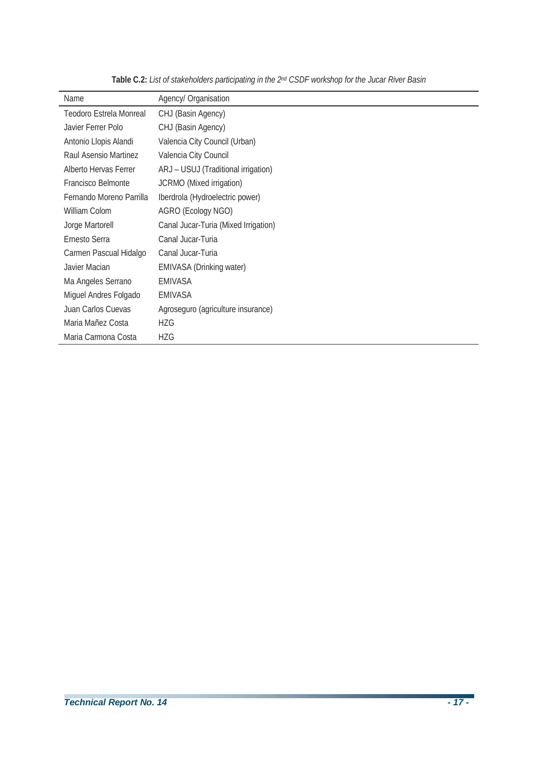| Name                     | Agency/ Organisation                 |
|--------------------------|--------------------------------------|
| Teodoro Estrela Monreal  | CHJ (Basin Agency)                   |
| Javier Ferrer Polo       | CHJ (Basin Agency)                   |
| Antonio Llopis Alandi    | Valencia City Council (Urban)        |
| Raul Asensio Martinez    | Valencia City Council                |
| Alberto Hervas Ferrer    | ARJ - USUJ (Traditional irrigation)  |
| Francisco Belmonte       | JCRMO (Mixed irrigation)             |
| Fernando Moreno Parrilla | Iberdrola (Hydroelectric power)      |
| William Colom            | AGRO (Ecology NGO)                   |
| Jorge Martorell          | Canal Jucar-Turia (Mixed Irrigation) |
| Ernesto Serra            | Canal Jucar-Turia                    |
| Carmen Pascual Hidalgo   | Canal Jucar-Turia                    |
| Javier Macian            | <b>EMIVASA</b> (Drinking water)      |
| Ma Angeles Serrano       | <b>EMIVASA</b>                       |
| Miguel Andres Folgado    | <b>EMIVASA</b>                       |
| Juan Carlos Cuevas       | Agroseguro (agriculture insurance)   |
| Maria Mañez Costa        | <b>HZG</b>                           |
| Maria Carmona Costa      | <b>HZG</b>                           |

**Table C.2:** *List of stakeholders participating in the 2nd CSDF workshop for the Jucar River Basin*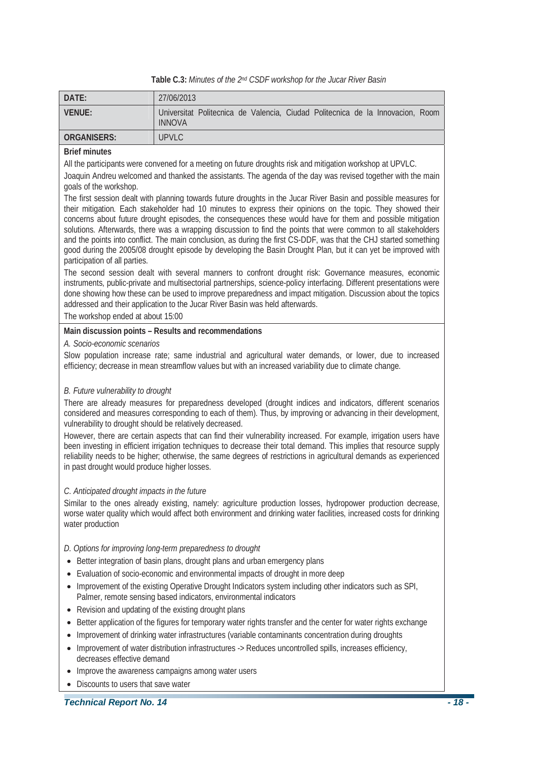### **Table C.3:** *Minutes of the 2nd CSDF workshop for the Jucar River Basin*

| DATE:       | 27/06/2013                                                                                      |
|-------------|-------------------------------------------------------------------------------------------------|
| VENUE:      | Universitat Politecnica de Valencia, Ciudad Politecnica de la Innovacion, Room<br><b>INNOVA</b> |
| ORGANISERS: | UPVLC                                                                                           |

### **Brief minutes**

All the participants were convened for a meeting on future droughts risk and mitigation workshop at UPVLC.

Joaquin Andreu welcomed and thanked the assistants. The agenda of the day was revised together with the main goals of the workshop.

The first session dealt with planning towards future droughts in the Jucar River Basin and possible measures for their mitigation. Each stakeholder had 10 minutes to express their opinions on the topic. They showed their concerns about future drought episodes, the consequences these would have for them and possible mitigation solutions. Afterwards, there was a wrapping discussion to find the points that were common to all stakeholders and the points into conflict. The main conclusion, as during the first CS-DDF, was that the CHJ started something good during the 2005/08 drought episode by developing the Basin Drought Plan, but it can yet be improved with participation of all parties.

The second session dealt with several manners to confront drought risk: Governance measures, economic instruments, public-private and multisectorial partnerships, science-policy interfacing. Different presentations were done showing how these can be used to improve preparedness and impact mitigation. Discussion about the topics addressed and their application to the Jucar River Basin was held afterwards.

The workshop ended at about 15:00

### **Main discussion points – Results and recommendations**

*A. Socio-economic scenarios* 

Slow population increase rate; same industrial and agricultural water demands, or lower, due to increased efficiency; decrease in mean streamflow values but with an increased variability due to climate change.

### *B. Future vulnerability to drought*

There are already measures for preparedness developed (drought indices and indicators, different scenarios considered and measures corresponding to each of them). Thus, by improving or advancing in their development, vulnerability to drought should be relatively decreased.

However, there are certain aspects that can find their vulnerability increased. For example, irrigation users have been investing in efficient irrigation techniques to decrease their total demand. This implies that resource supply reliability needs to be higher; otherwise, the same degrees of restrictions in agricultural demands as experienced in past drought would produce higher losses.

### *C. Anticipated drought impacts in the future*

Similar to the ones already existing, namely: agriculture production losses, hydropower production decrease, worse water quality which would affect both environment and drinking water facilities, increased costs for drinking water production

### *D. Options for improving long-term preparedness to drought*

- Better integration of basin plans, drought plans and urban emergency plans
- Evaluation of socio-economic and environmental impacts of drought in more deep
- Improvement of the existing Operative Drought Indicators system including other indicators such as SPI, Palmer, remote sensing based indicators, environmental indicators
- Revision and updating of the existing drought plans
- Better application of the figures for temporary water rights transfer and the center for water rights exchange
- Improvement of drinking water infrastructures (variable contaminants concentration during droughts
- Improvement of water distribution infrastructures -> Reduces uncontrolled spills, increases efficiency, decreases effective demand
- Improve the awareness campaigns among water users
- Discounts to users that save water